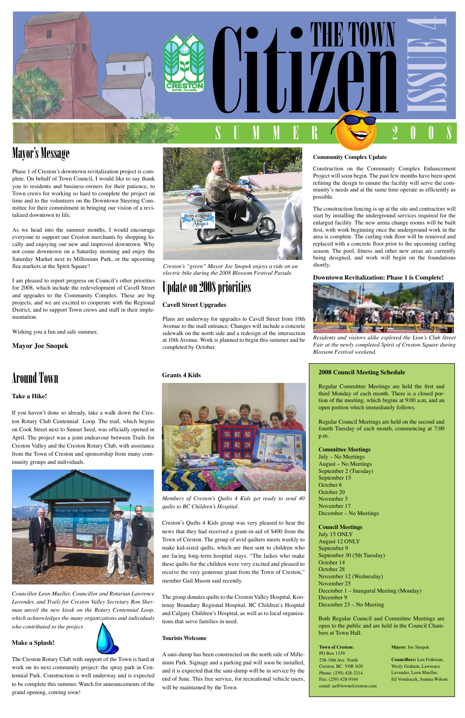

### Mayor's Message

Phase 1 of Creston's downtown revitalization project is complete. On behalf of Town Council, I would like to say thank you to residents and business-owners for their patience, to Town crews for working so hard to complete the project on time and to the volunteers on the Downtown Steering Committee for their commitment in bringing our vision of a revitalized downtown to life.

As we head into the summer months, I would encourage everyone to support our Creston merchants by shopping locally and enjoying our new and improved downtown. Why not come downtown on a Saturday morning and enjoy the Saturday Market next to Millenium Park, or the upcoming flea markets at the Spirit Square?

I am pleased to report progress on Council's other priorities for 2008, which include the redevelopment of Cavell Street and upgrades to the Community Complex. These are big projects, and we are excited to cooperate with the Regional District, and to support Town crews and staff in their implementation.

Wishing you a fun and safe summer,

**Mayor Joe Snopek**

### **Community Complex Update**

Construction on the Community Complex Enhancement Project will soon begin. The past few months have been spent refining the design to ensure the facility will serve the community's needs and at the same time operate as efficiently as possible.

The construction fencing is up at the site and contractors will start by installing the underground services required for the enlarged facility. The new arena change rooms will be built first, with work beginning once the underground work in the area is complete. The curling rink floor will be removed and replaced with a concrete floor prior to the upcoming curling season. The pool, fitness and other new areas are currently being designed, and work will begin on the foundations shortly.

### **Downtown Revitalization: Phase 1 is Complete!**



*Residents and visitors alike explored the Lion's Club Street Fair at the newly completed Spirit of Creston Square during Blossom Festival weekend.*

# Update on 2008 priorities

### **Cavell Street Upgrades**

Plans are underway for upgrades to Cavell Street from 10th Avenue to the mall entrance. Changes will include a concrete sidewalk on the north side and a redesign of the intersection at 10th Avenue. Work is planned to begin this summer and be completed by October.



*Creston's "green" Mayor Joe Snopek enjoys a ride on an electric bike during the 2008 Blossom Festival Parade.*

### **2008 Council Meeting Schedule**

Regular Committee Meetings are held the first and third Monday of each month. There is a closed portion of the meeting, which begins at 9:00 a.m, and an open portion which immediately follows.

Regular Council Meetings are held on the second and fourth Tuesday of each month, commencing at 7:00 p.m.

### **Committee Meetings**

July – No Meetings August – No Meetings September 2 (Tuesday) September 15 October 6 October 20 November 3 November 17 December – No Meetings

**Council Meetings** July 15 ONLY August 12 ONLY September 9 September 30 (5th Tuesday) October 14 October 28 November 12 (Wednesday) November 25 December 1 – Inaugural Meeting (Monday) December 9 December 23 – No Meeting

Both Regular Council and Committee Meetings are open to the public and are held in the Council Chambers at Town Hall.

### **Grants 4 Kids**



*Members of Creston's Quilts 4 Kids get ready to send 40 quilts to BC Children's Hospital.* 

Creston's Quilts 4 Kids group was very pleased to hear the

news that they had received a grant-in-aid of \$400 from the Town of Creston. The group of avid quilters meets weekly to make kid-sized quilts, which are then sent to children who are facing long-term hospital stays. "The ladies who make these quilts for the children were very excited and pleased to receive the very generous grant from the Town of Creston," member Gail Mason said recently.

The group donates quilts to the Creston Valley Hospital, Kootenay Boundary Regional Hospital, BC Children's Hospital and Calgary Children's Hospital, as well as to local organizations that serve families in need.

### **Tourists Welcome**

A sani-dump has been constructed on the north side of Millenium Park. Signage and a parking pad will soon be installed, and it is expected that the sani-dump will be in service by the end of June. This free service, for recreational vehicle users, will be maintained by the Town.

#### **Town of Creston:** PO Box 1339

238-10th Ave. North Creston, BC V0B 1G0 Phone: (250) 428-2214 Fax: (250) 428-9164 email: aa@townofcreston.com

#### **Mayor:** Joe Snopek

**Councillors:** Len Folkman, Wesly Graham, Lawrence Lavender, Leon Mueller, Ed Vondracek, Joanna Wilson

## Around Town

### **Take a Hike!**

If you haven't done so already, take a walk down the Creston Rotary Club Centennial Loop. The trail, which begins on Cook Street next to Sunset Seed, was officially opened in April. The project was a joint endeavour between Trails for Creston Valley and the Creston Rotary Club, with assistance from the Town of Creston and sponsorship from many community groups and individuals.



*Councillor Leon Mueller, Councillor and Rotarian Lawrence Lavender, and Trails for Creston Valley Secretary Ron Sherman unveil the new kiosk on the Rotary Centennial Loop, which acknowledges the many organizations and individuals who contributed to the project.*

**Make a Splash!**

The Creston Rotary Club with support of the Town is hard at work on its next community project: the spray park in Centennial Park. Construction is well underway and is expected to be complete this summer. Watch for announcements of the grand opening, coming soon!